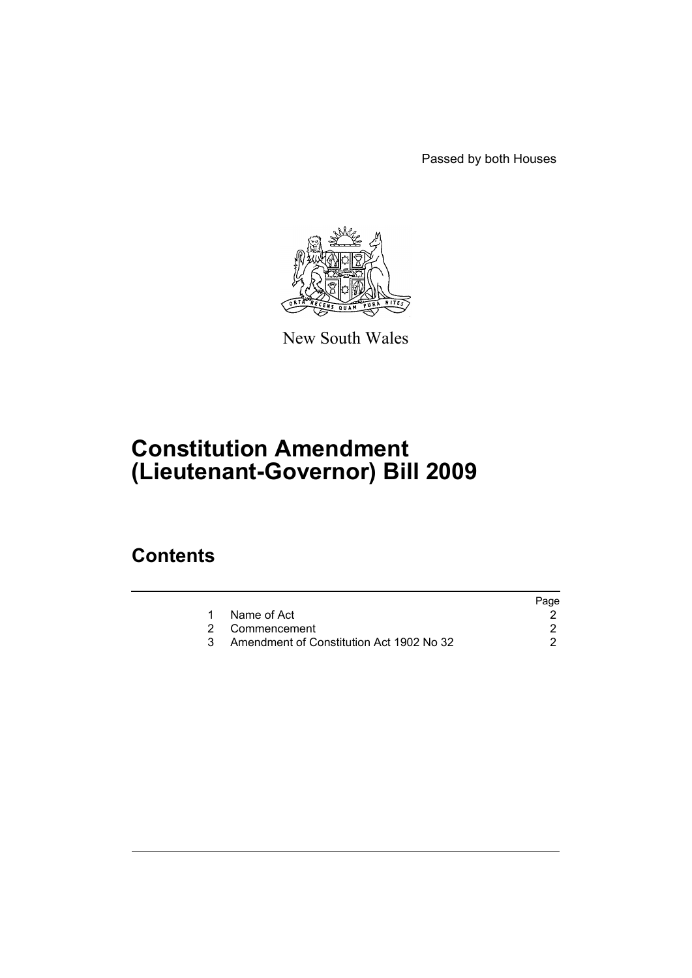Passed by both Houses



New South Wales

# **Constitution Amendment (Lieutenant-Governor) Bill 2009**

### **Contents**

|                                          | Page |
|------------------------------------------|------|
| Name of Act                              |      |
| 2 Commencement                           |      |
| Amendment of Constitution Act 1902 No 32 |      |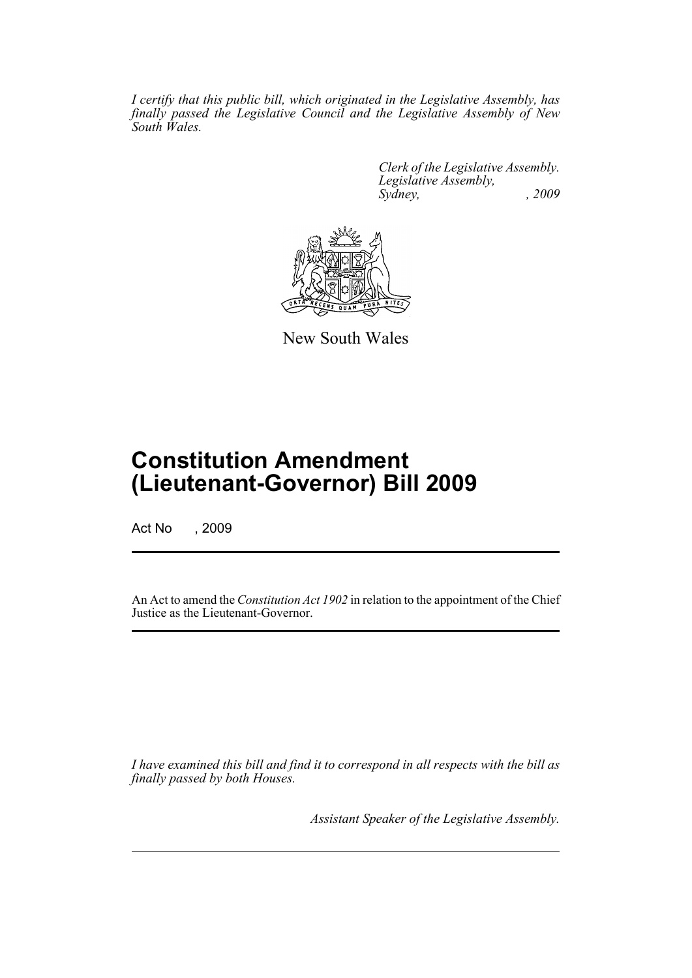*I certify that this public bill, which originated in the Legislative Assembly, has finally passed the Legislative Council and the Legislative Assembly of New South Wales.*

> *Clerk of the Legislative Assembly. Legislative Assembly, Sydney, , 2009*



New South Wales

## **Constitution Amendment (Lieutenant-Governor) Bill 2009**

Act No , 2009

An Act to amend the *Constitution Act 1902* in relation to the appointment of the Chief Justice as the Lieutenant-Governor.

*I have examined this bill and find it to correspond in all respects with the bill as finally passed by both Houses.*

*Assistant Speaker of the Legislative Assembly.*